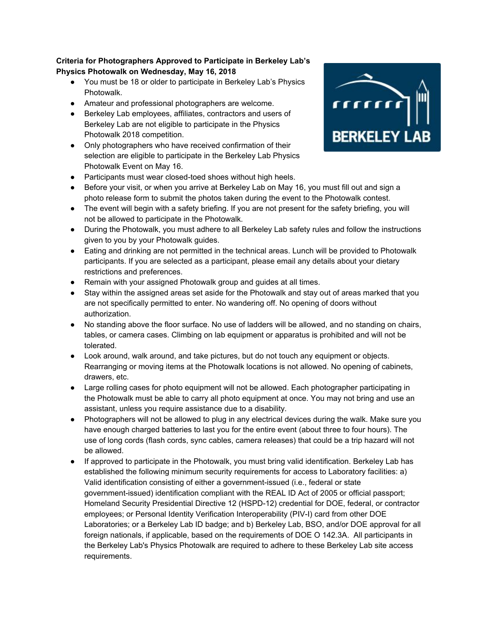## **Criteria for Photographers Approved to Participate in Berkeley Lab's Physics Photowalk on Wednesday, May 16, 2018**

- You must be 18 or older to participate in Berkeley Lab's Physics Photowalk.
- Amateur and professional photographers are welcome.
- Berkeley Lab employees, affiliates, contractors and users of Berkeley Lab are not eligible to participate in the Physics Photowalk 2018 competition.
- Only photographers who have received confirmation of their selection are eligible to participate in the Berkeley Lab Physics Photowalk Event on May 16.
- Participants must wear closed-toed shoes without high heels.
- Before your visit, or when you arrive at Berkeley Lab on May 16, you must fill out and sign a photo release form to submit the photos taken during the event to the Photowalk contest.
- The event will begin with a safety briefing. If you are not present for the safety briefing, you will not be allowed to participate in the Photowalk.
- During the Photowalk, you must adhere to all Berkeley Lab safety rules and follow the instructions given to you by your Photowalk guides.
- Eating and drinking are not permitted in the technical areas. Lunch will be provided to Photowalk participants. If you are selected as a participant, please email any details about your dietary restrictions and preferences.
- Remain with your assigned Photowalk group and guides at all times.
- Stay within the assigned areas set aside for the Photowalk and stay out of areas marked that you are not specifically permitted to enter. No wandering off. No opening of doors without authorization.
- No standing above the floor surface. No use of ladders will be allowed, and no standing on chairs, tables, or camera cases. Climbing on lab equipment or apparatus is prohibited and will not be tolerated.
- Look around, walk around, and take pictures, but do not touch any equipment or objects. Rearranging or moving items at the Photowalk locations is not allowed. No opening of cabinets, drawers, etc.
- Large rolling cases for photo equipment will not be allowed. Each photographer participating in the Photowalk must be able to carry all photo equipment at once. You may not bring and use an assistant, unless you require assistance due to a disability.
- Photographers will not be allowed to plug in any electrical devices during the walk. Make sure you have enough charged batteries to last you for the entire event (about three to four hours). The use of long cords (flash cords, sync cables, camera releases) that could be a trip hazard will not be allowed.
- If approved to participate in the Photowalk, you must bring valid identification. Berkeley Lab has established the following minimum security requirements for access to Laboratory facilities: a) Valid identification consisting of either a government-issued (i.e., federal or state government-issued) identification compliant with the REAL ID Act of 2005 or official passport; Homeland Security Presidential Directive 12 (HSPD-12) credential for DOE, federal, or contractor employees; or Personal Identity Verification Interoperability (PIV-I) card from other DOE Laboratories; or a Berkeley Lab ID badge; and b) Berkeley Lab, BSO, and/or DOE approval for all foreign nationals, if applicable, based on the requirements of DOE O 142.3A. All participants in the Berkeley Lab's Physics Photowalk are required to adhere to these Berkeley Lab site access requirements.